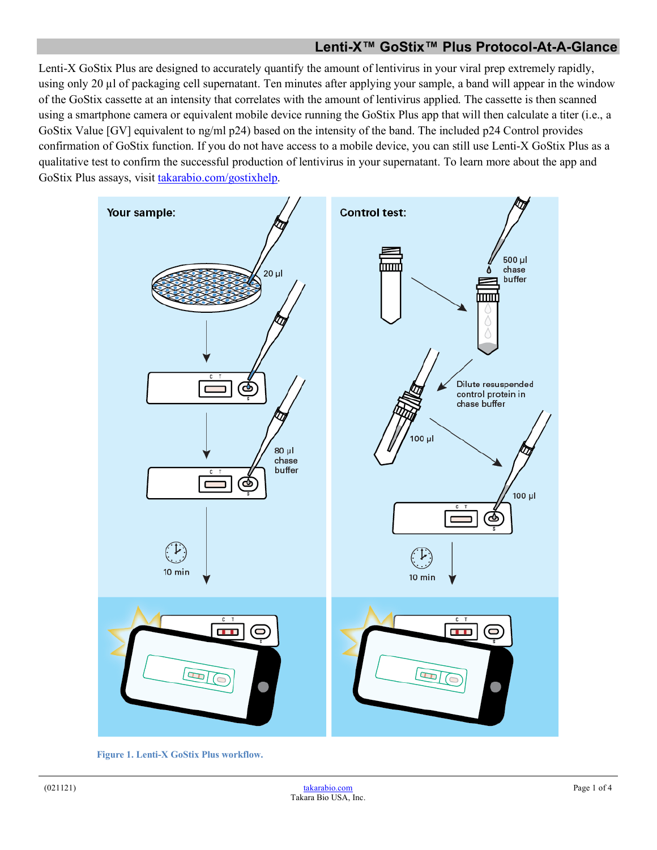### **Lenti-X™ GoStix™ Plus Protocol-At-A-Glance**

Lenti-X GoStix Plus are designed to accurately quantify the amount of lentivirus in your viral prep extremely rapidly, using only 20  $\mu$  of packaging cell supernatant. Ten minutes after applying your sample, a band will appear in the window of the GoStix cassette at an intensity that correlates with the amount of lentivirus applied. The cassette is then scanned using a smartphone camera or equivalent mobile device running the GoStix Plus app that will then calculate a titer (i.e., a GoStix Value [GV] equivalent to ng/ml p24) based on the intensity of the band. The included p24 Control provides confirmation of GoStix function. If you do not have access to a mobile device, you can still use Lenti-X GoStix Plus as a qualitative test to confirm the successful production of lentivirus in your supernatant. To learn more about the app and GoStix Plus assays, visit [takarabio.com/gostixhelp.](http://www.takarabio.com/gostixhelp)



 **Figure 1. Lenti-X GoStix Plus workflow.**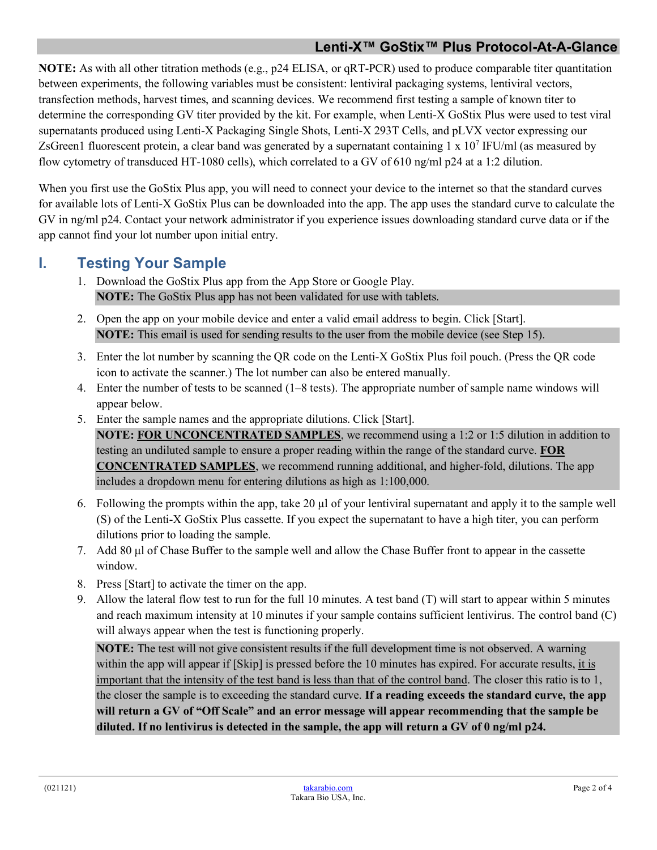**NOTE:** As with all other titration methods (e.g., p24 ELISA, or qRT-PCR) used to produce comparable titer quantitation between experiments, the following variables must be consistent: lentiviral packaging systems, lentiviral vectors, transfection methods, harvest times, and scanning devices. We recommend first testing a sample of known titer to determine the corresponding GV titer provided by the kit. For example, when Lenti-X GoStix Plus were used to test viral supernatants produced using Lenti-X Packaging Single Shots, Lenti-X 293T Cells, and pLVX vector expressing our ZsGreen1 fluorescent protein, a clear band was generated by a supernatant containing  $1 \times 10^7$  IFU/ml (as measured by flow cytometry of transduced HT-1080 cells), which correlated to a GV of 610 ng/ml p24 at a 1:2 dilution.

When you first use the GoStix Plus app, you will need to connect your device to the internet so that the standard curves for available lots of Lenti-X GoStix Plus can be downloaded into the app. The app uses the standard curve to calculate the GV in ng/ml p24. Contact your network administrator if you experience issues downloading standard curve data or if the app cannot find your lot number upon initial entry.

## **I. Testing Your Sample**

- 1. Download the GoStix Plus app from the App Store or Google Play. **NOTE:** The GoStix Plus app has not been validated for use with tablets.
- 2. Open the app on your mobile device and enter a valid email address to begin. Click [Start]. **NOTE:** This email is used for sending results to the user from the mobile device (see Step 15).
- 3. Enter the lot number by scanning the QR code on the Lenti-X GoStix Plus foil pouch. (Press the QR code icon to activate the scanner.) The lot number can also be entered manually.
- 4. Enter the number of tests to be scanned (1–8 tests). The appropriate number of sample name windows will appear below.
- 5. Enter the sample names and the appropriate dilutions. Click [Start]. **NOTE: FOR UNCONCENTRATED SAMPLES**, we recommend using a 1:2 or 1:5 dilution in addition to testing an undiluted sample to ensure a proper reading within the range of the standard curve. **FOR CONCENTRATED SAMPLES**, we recommend running additional, and higher-fold, dilutions. The app includes a dropdown menu for entering dilutions as high as 1:100,000.
- 6. Following the prompts within the app, take 20 µl of your lentiviral supernatant and apply it to the sample well (S) of the Lenti-X GoStix Plus cassette. If you expect the supernatant to have a high titer, you can perform dilutions prior to loading the sample.
- 7. Add 80 μl of Chase Buffer to the sample well and allow the Chase Buffer front to appear in the cassette window.
- 8. Press [Start] to activate the timer on the app.
- 9. Allow the lateral flow test to run for the full 10 minutes. A test band (T) will start to appear within 5 minutes and reach maximum intensity at 10 minutes if your sample contains sufficient lentivirus. The control band (C) will always appear when the test is functioning properly.

**NOTE:** The test will not give consistent results if the full development time is not observed. A warning within the app will appear if  $[Skip]$  is pressed before the 10 minutes has expired. For accurate results, it is important that the intensity of the test band is less than that of the control band. The closer this ratio is to 1, the closer the sample is to exceeding the standard curve. **If a reading exceeds the standard curve, the app will return a GV of "Off Scale" and an error message will appear recommending that the sample be diluted. If no lentivirus is detected in the sample, the app will return a GV of 0 ng/ml p24.**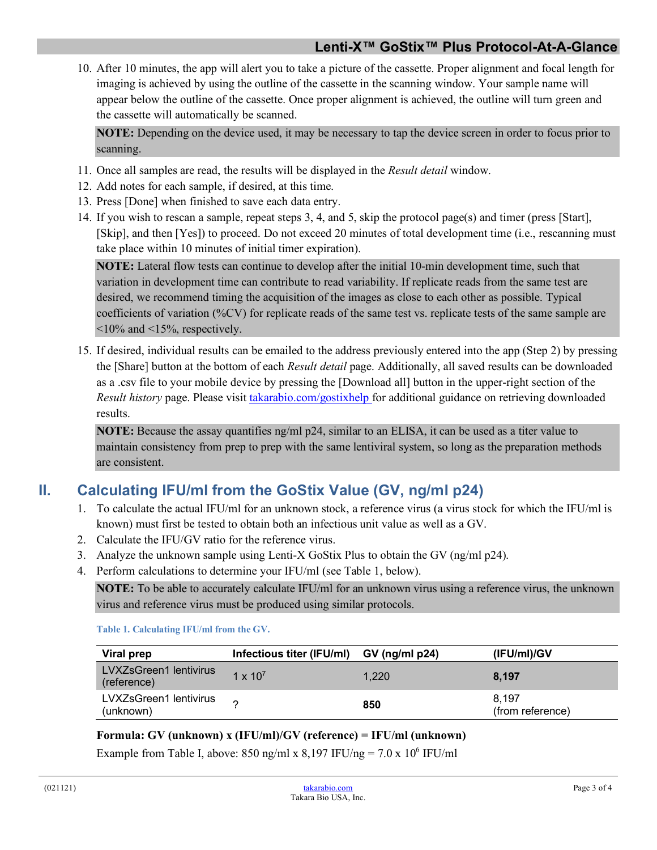10. After 10 minutes, the app will alert you to take a picture of the cassette. Proper alignment and focal length for imaging is achieved by using the outline of the cassette in the scanning window. Your sample name will appear below the outline of the cassette. Once proper alignment is achieved, the outline will turn green and the cassette will automatically be scanned.

**NOTE:** Depending on the device used, it may be necessary to tap the device screen in order to focus prior to scanning.

- 11. Once all samples are read, the results will be displayed in the *Result detail* window.
- 12. Add notes for each sample, if desired, at this time.
- 13. Press [Done] when finished to save each data entry.
- 14. If you wish to rescan a sample, repeat steps 3, 4, and 5, skip the protocol page(s) and timer (press [Start], [Skip], and then [Yes]) to proceed. Do not exceed 20 minutes of total development time (i.e., rescanning must take place within 10 minutes of initial timer expiration).

**NOTE:** Lateral flow tests can continue to develop after the initial 10-min development time, such that variation in development time can contribute to read variability. If replicate reads from the same test are desired, we recommend timing the acquisition of the images as close to each other as possible. Typical coefficients of variation (%CV) for replicate reads of the same test vs. replicate tests of the same sample are  $\leq$ 10% and  $\leq$ 15%, respectively.

15. If desired, individual results can be emailed to the address previously entered into the app (Step 2) by pressing the [Share] button at the bottom of each *Result detail* page. Additionally, all saved results can be downloaded as a .csv file to your mobile device by pressing the [Download all] button in the upper-right section of the *Result history* page. Please visit [takarabio.com/gostixhelp](http://www.takarabio.com/gostixhelp) for additional guidance on retrieving downloaded results.

**NOTE:** Because the assay quantifies ng/ml p24, similar to an ELISA, it can be used as a titer value to maintain consistency from prep to prep with the same lentiviral system, so long as the preparation methods are consistent.

# **II. Calculating IFU/ml from the GoStix Value (GV, ng/ml p24)**

- 1. To calculate the actual IFU/ml for an unknown stock, a reference virus (a virus stock for which the IFU/ml is known) must first be tested to obtain both an infectious unit value as well as a GV.
- 2. Calculate the IFU/GV ratio for the reference virus.
- 3. Analyze the unknown sample using Lenti-X GoStix Plus to obtain the GV (ng/ml p24).
- 4. Perform calculations to determine your IFU/ml (see Table 1, below).

**NOTE:** To be able to accurately calculate IFU/ml for an unknown virus using a reference virus, the unknown virus and reference virus must be produced using similar protocols.

**Table 1. Calculating IFU/ml from the GV.**

| Viral prep                            | Infectious titer (IFU/ml) GV (ng/ml p24) |       | (IFU/ml)/GV               |
|---------------------------------------|------------------------------------------|-------|---------------------------|
| LVXZsGreen1 lentivirus<br>(reference) | $1 \times 10^{7}$                        | 1,220 | 8.197                     |
| LVXZsGreen1 lentivirus<br>(unknown)   |                                          | 850   | 8.197<br>(from reference) |

### **Formula: GV (unknown) x (IFU/ml)/GV (reference) = IFU/ml (unknown)**

Example from Table I, above: 850 ng/ml x 8,197 IFU/ng = 7.0 x 10<sup>6</sup> IFU/ml